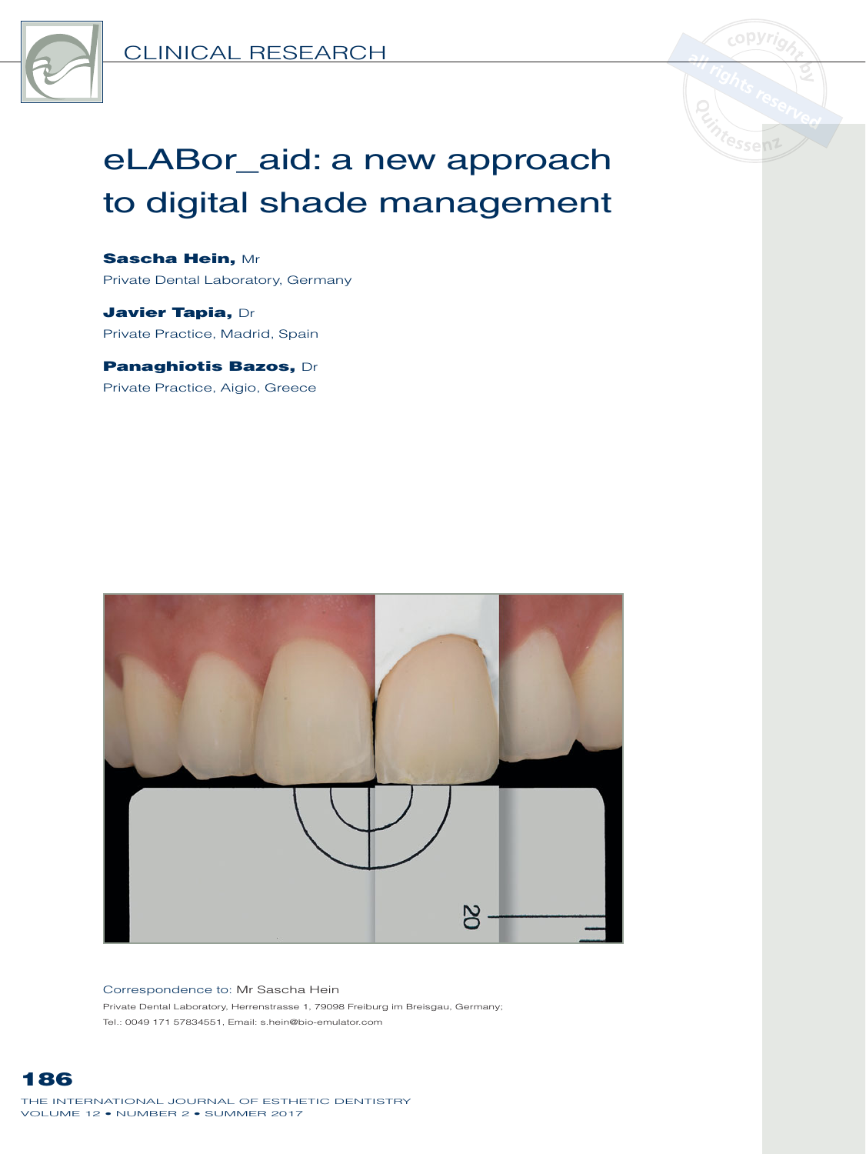



# eLABor\_aid: a new approach to digital shade management

Sascha Hein, Mr Private Dental Laboratory, Germany

Javier Tapia, Dr Private Practice, Madrid, Spain

Panaghiotis Bazos, Dr Private Practice, Aigio, Greece



#### Correspondence to: Mr Sascha Hein

Private Dental Laboratory, Herrenstrasse 1, 79098 Freiburg im Breisgau, Germany; Tel.: 0049 171 57834551, Email: s.hein@bio-emulator.com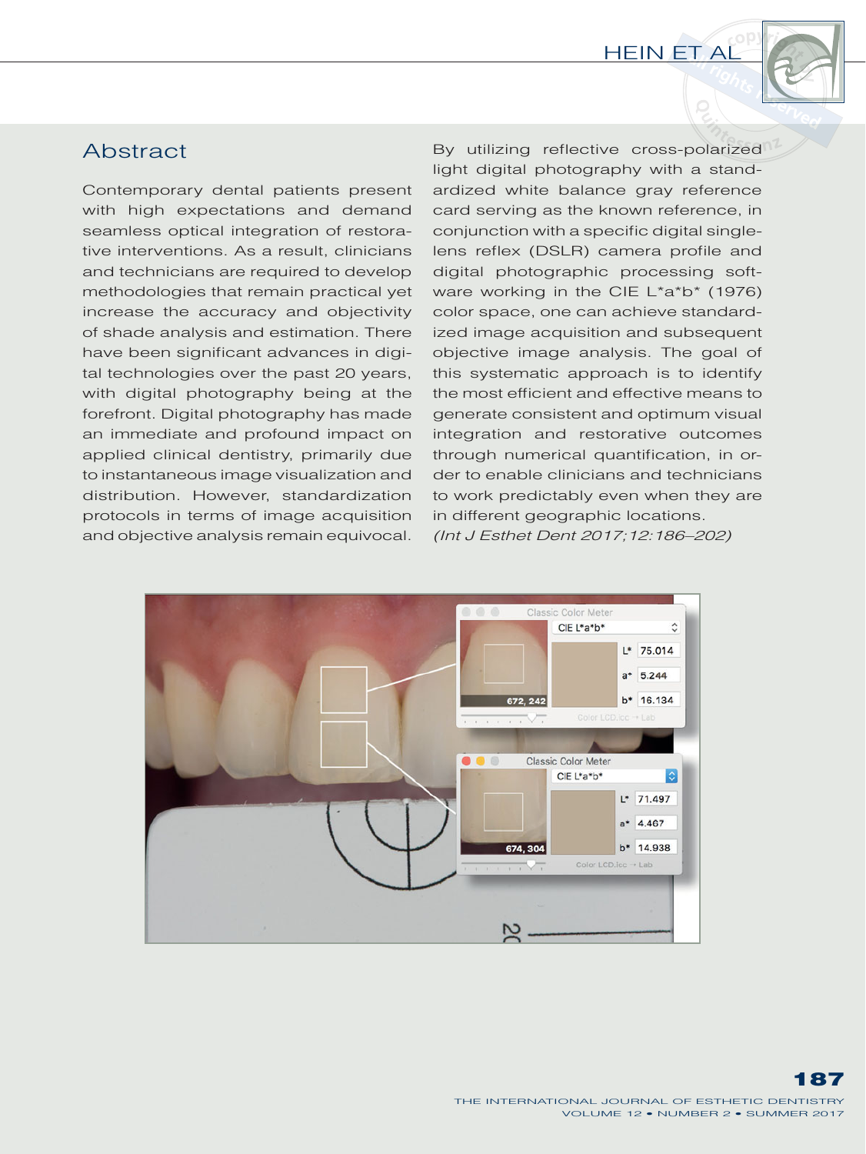

## **Abstract**

Contemporary dental patients present with high expectations and demand seamless optical integration of restorative interventions. As a result, clinicians and technicians are required to develop methodologies that remain practical yet increase the accuracy and objectivity of shade analysis and estimation. There have been significant advances in digital technologies over the past 20 years, with digital photography being at the forefront. Digital photography has made an immediate and profound impact on applied clinical dentistry, primarily due to instantaneous image visualization and distribution. However, standardization protocols in terms of image acquisition and objective analysis remain equivocal. By utilizing reflective cross-polarized light digital photography with a standardized white balance gray reference card serving as the known reference, in conjunction with a specific digital singlelens reflex (DSLR) camera profile and digital photographic processing software working in the CIE L\*a\*b\* (1976) color space, one can achieve standardized image acquisition and subsequent objective image analysis. The goal of this systematic approach is to identify the most efficient and effective means to generate consistent and optimum visual integration and restorative outcomes through numerical quantification, in order to enable clinicians and technicians to work predictably even when they are in different geographic locations. *(Int J Esthet Dent 2017;12:186–202)*

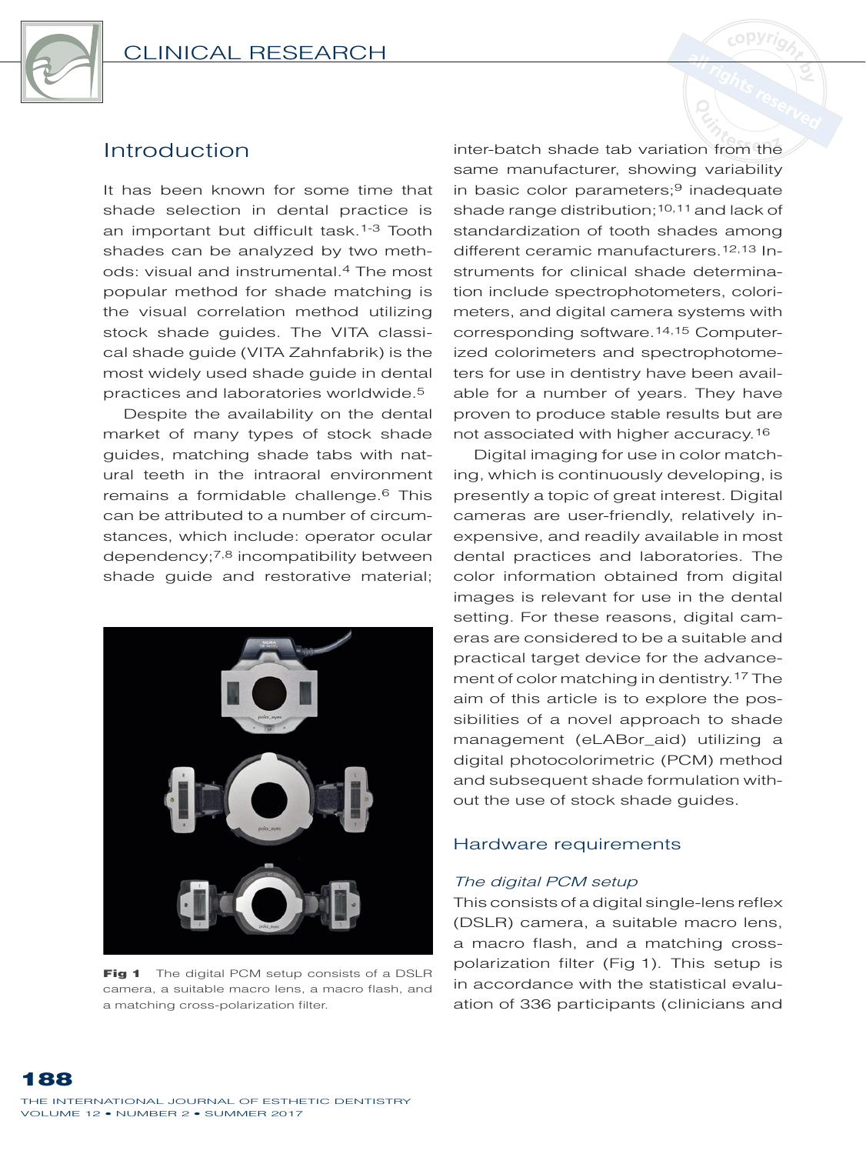

It has been known for some time that shade selection in dental practice is an important but difficult task.1-3 Tooth shades can be analyzed by two methods: visual and instrumental.4 The most popular method for shade matching is the visual correlation method utilizing stock shade guides. The VITA classical shade guide (VITA Zahnfabrik) is the most widely used shade guide in dental practices and laboratories worldwide.5

Despite the availability on the dental market of many types of stock shade guides, matching shade tabs with natural teeth in the intraoral environment remains a formidable challenge.<sup>6</sup> This can be attributed to a number of circumstances, which include: operator ocular dependency; $^{7,8}$  incompatibility between shade guide and restorative material;



Fig 1 The digital PCM setup consists of a DSLR camera, a suitable macro lens, a macro flash, and a matching cross-polarization filter.

inter-batch shade tab variation from the same manufacturer, showing variability in basic color parameters; $9$  inadequate shade range distribution:  $10,11$  and lack of standardization of tooth shades among different ceramic manufacturers.12,13 Instruments for clinical shade determination include spectrophotometers, colorimeters, and digital camera systems with corresponding software.14,15 Computerized colorimeters and spectrophotometers for use in dentistry have been available for a number of years. They have proven to produce stable results but are not associated with higher accuracy.

Digital imaging for use in color matching, which is continuously developing, is presently a topic of great interest. Digital cameras are user-friendly, relatively inexpensive, and readily available in most dental practices and laboratories. The color information obtained from digital images is relevant for use in the dental setting. For these reasons, digital cameras are considered to be a suitable and practical target device for the advancement of color matching in dentistry.17 The aim of this article is to explore the possibilities of a novel approach to shade management (eLABor\_aid) utilizing a digital photocolorimetric (PCM) method and subsequent shade formulation without the use of stock shade guides.

### Hardware requirements

### *The digital PCM setup*

This consists of a digital single-lens reflex (DSLR) camera, a suitable macro lens, a macro flash, and a matching crosspolarization filter (Fig 1). This setup is in accordance with the statistical evaluation of 336 participants (clinicians and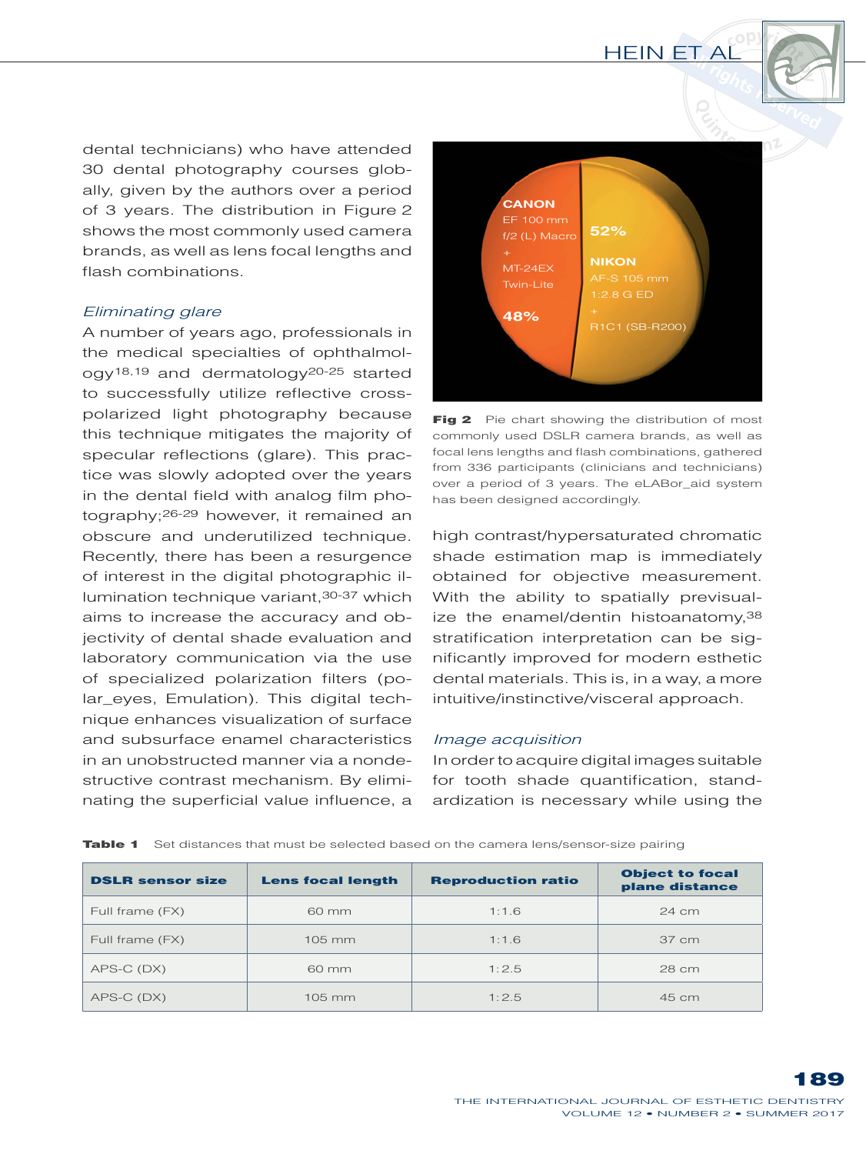dental technicians) who have attended 30 dental photography courses globally, given by the authors over a period of 3 years. The distribution in Figure 2 shows the most commonly used camera brands, as well as lens focal lengths and flash combinations.

#### *Eliminating glare*

A number of years ago, professionals in the medical specialties of ophthalmology18,19 and dermatology20-25 started to successfully utilize reflective crosspolarized light photography because this technique mitigates the majority of specular reflections (glare). This practice was slowly adopted over the years in the dental field with analog film photography;<sup>26-29</sup> however, it remained an obscure and underutilized technique. Recently, there has been a resurgence of interest in the digital photographic illumination technique variant, 30-37 which aims to increase the accuracy and objectivity of dental shade evaluation and laboratory communication via the use of specialized polarization filters (polar\_eyes, Emulation). This digital technique enhances visualization of surface and subsurface enamel characteristics in an unobstructed manner via a nondestructive contrast mechanism. By eliminating the superficial value influence, a



Fig 2 Pie chart showing the distribution of most commonly used DSLR camera brands, as well as focal lens lengths and flash combinations, gathered from 336 participants (clinicians and technicians) over a period of 3 years. The eLABor\_aid system has been designed accordingly.

high contrast/hypersaturated chromatic shade estimation map is immediately obtained for objective measurement. With the ability to spatially previsualize the enamel/dentin histoanatomy,38 stratification interpretation can be significantly improved for modern esthetic dental materials. This is, in a way, a more intuitive/instinctive/visceral approach.

#### *Image acquisition*

In order to acquire digital images suitable for tooth shade quantification, standardization is necessary while using the

| <b>DSLR sensor size</b> | <b>Lens focal length</b> | <b>Reproduction ratio</b> | <b>Object to focal</b><br>plane distance |
|-------------------------|--------------------------|---------------------------|------------------------------------------|
| Full frame (FX)         | $60 \text{ mm}$          | 1:1.6                     | 24 cm                                    |
| Full frame (FX)         | $105$ mm                 | 1:1.6                     | 37 cm                                    |
| APS-C (DX)              | 60 mm                    | 1:2.5                     | 28 cm                                    |
| APS-C (DX)              | $105 \, \mathrm{mm}$     | 1:2.5                     | 45 cm                                    |

Table 1 Set distances that must be selected based on the camera lens/sensor-size pairing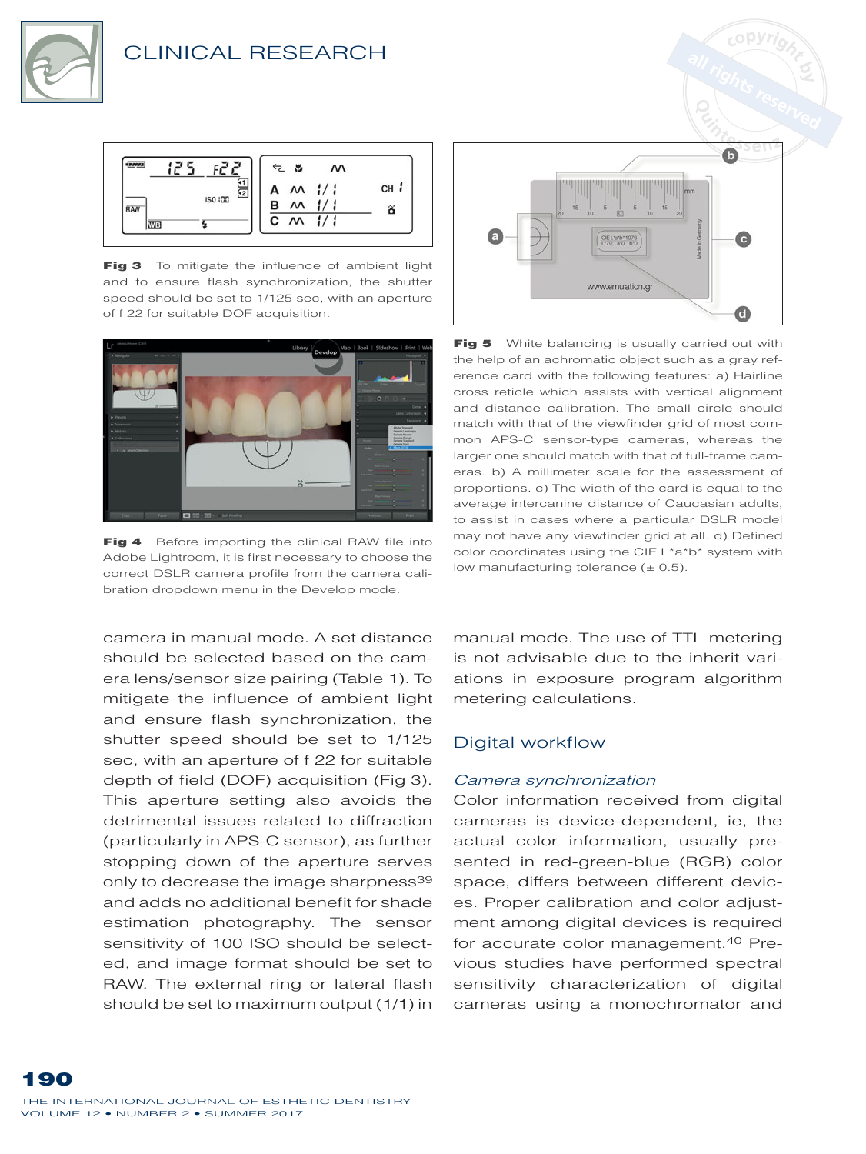



Fig 3 To mitigate the influence of ambient light and to ensure flash synchronization, the shutter speed should be set to 1/125 sec, with an aperture of f 22 for suitable DOF acquisition.



Fig 4 Before importing the clinical RAW file into Adobe Lightroom, it is first necessary to choose the correct DSLR camera profile from the camera calibration dropdown menu in the Develop mode.

camera in manual mode. A set distance should be selected based on the camera lens/sensor size pairing (Table 1). To mitigate the influence of ambient light and ensure flash synchronization, the shutter speed should be set to 1/125 sec, with an aperture of f 22 for suitable depth of field (DOF) acquisition (Fig 3). This aperture setting also avoids the detrimental issues related to diffraction (particularly in APS-C sensor), as further stopping down of the aperture serves only to decrease the image sharpness<sup>39</sup> and adds no additional benefit for shade estimation photography. The sensor sensitivity of 100 ISO should be selected, and image format should be set to RAW. The external ring or lateral flash should be set to maximum output (1/1) in



Fig 5 White balancing is usually carried out with the help of an achromatic object such as a gray reference card with the following features: a) Hairline cross reticle which assists with vertical alignment and distance calibration. The small circle should match with that of the viewfinder grid of most common APS-C sensor-type cameras, whereas the larger one should match with that of full-frame cameras. b) A millimeter scale for the assessment of proportions. c) The width of the card is equal to the average intercanine distance of Caucasian adults, to assist in cases where a particular DSLR model may not have any viewfinder grid at all. d) Defined color coordinates using the CIE L\*a\*b\* system with low manufacturing tolerance  $(\pm 0.5)$ .

manual mode. The use of TTL metering is not advisable due to the inherit variations in exposure program algorithm metering calculations.

#### Digital workflow

#### *Camera synchronization*

Color information received from digital cameras is device-dependent, ie, the actual color information, usually presented in red-green-blue (RGB) color space, differs between different devices. Proper calibration and color adjustment among digital devices is required for accurate color management.40 Previous studies have performed spectral sensitivity characterization of digital cameras using a monochromator and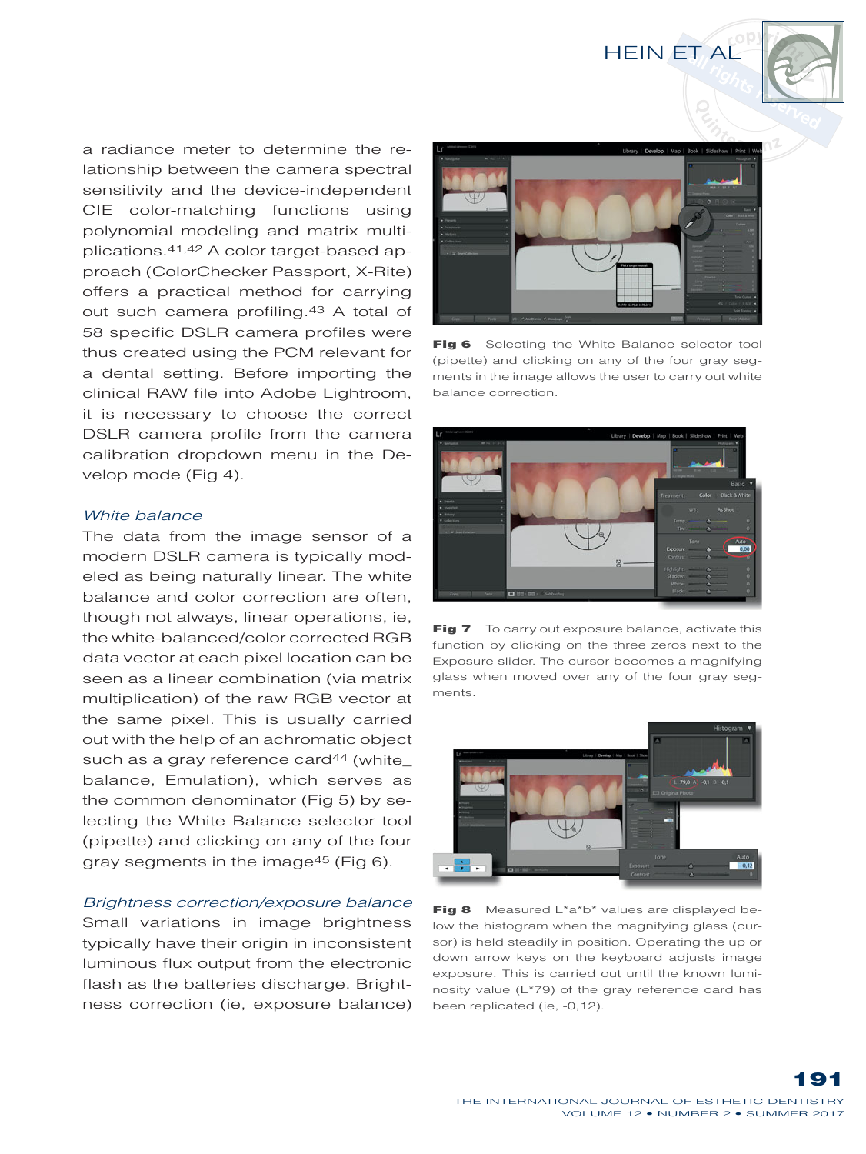

a radiance meter to determine the relationship between the camera spectral sensitivity and the device-independent CIE color-matching functions using polynomial modeling and matrix multiplications.41,42 A color target-based approach (ColorChecker Passport, X-Rite) offers a practical method for carrying out such camera profiling.43 A total of 58 specific DSLR camera profiles were thus created using the PCM relevant for a dental setting. Before importing the clinical RAW file into Adobe Lightroom, it is necessary to choose the correct DSLR camera profile from the camera calibration dropdown menu in the Develop mode (Fig 4).

#### *White balance*

The data from the image sensor of a modern DSLR camera is typically modeled as being naturally linear. The white balance and color correction are often, though not always, linear operations, ie, the white-balanced/color corrected RGB data vector at each pixel location can be seen as a linear combination (via matrix multiplication) of the raw RGB vector at the same pixel. This is usually carried out with the help of an achromatic object such as a gray reference card<sup>44</sup> (white\_ balance, Emulation), which serves as the common denominator (Fig 5) by selecting the White Balance selector tool (pipette) and clicking on any of the four gray segments in the image<sup>45</sup> (Fig 6).

#### *Brightness correction/exposure balance*

Small variations in image brightness typically have their origin in inconsistent luminous flux output from the electronic flash as the batteries discharge. Brightness correction (ie, exposure balance)



Fig 6 Selecting the White Balance selector tool (pipette) and clicking on any of the four gray segments in the image allows the user to carry out white balance correction.



Fig 7 To carry out exposure balance, activate this function by clicking on the three zeros next to the Exposure slider. The cursor becomes a magnifying glass when moved over any of the four gray segments.



Fig 8 Measured  $L^*a^*b^*$  values are displayed below the histogram when the magnifying glass (cursor) is held steadily in position. Operating the up or down arrow keys on the keyboard adjusts image exposure. This is carried out until the known luminosity value (L\*79) of the gray reference card has been replicated (ie, -0,12).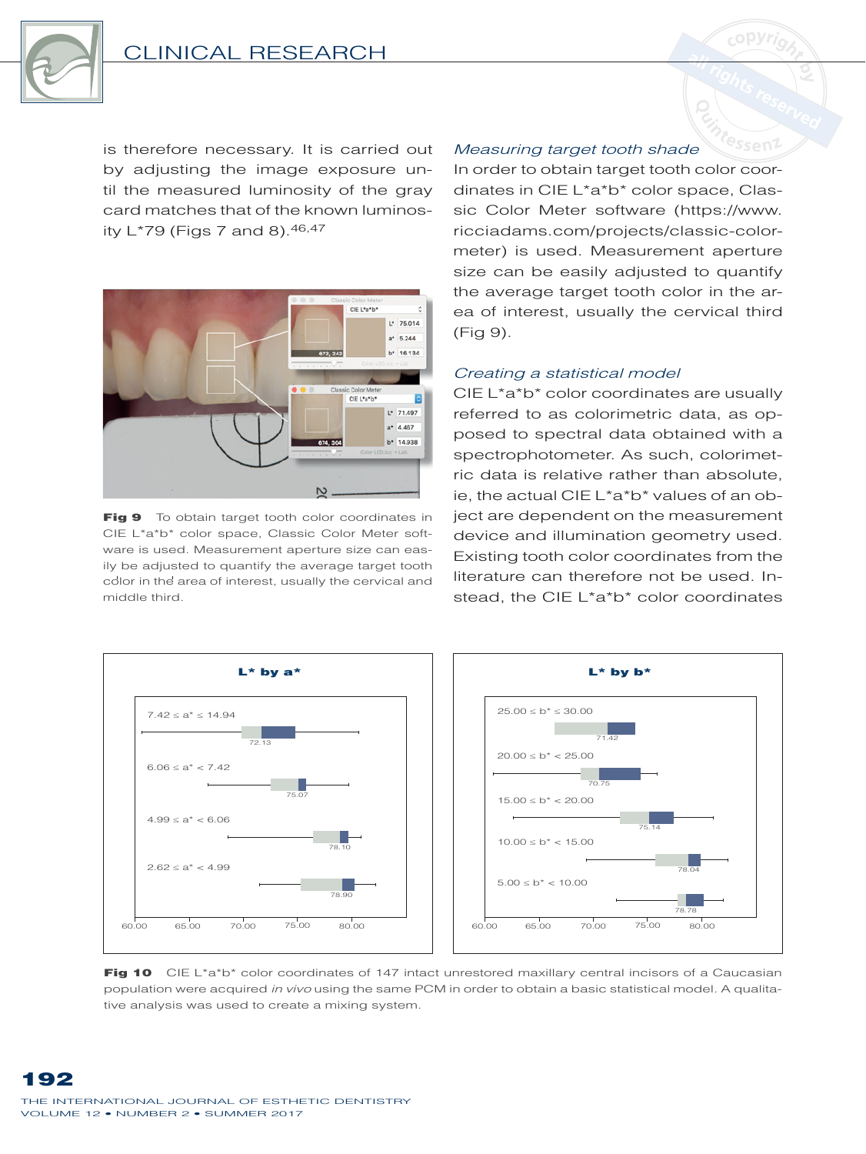

is therefore necessary. It is carried out by adjusting the image exposure until the measured luminosity of the gray card matches that of the known luminosity L\*79 (Figs 7 and 8). 46, 47



Fig 9 To obtain target tooth color coordinates in CIE L\*a\*b\* color space, Classic Color Meter software is used. Measurement aperture size can easily be adjusted to quantify the average target tooth color in the area of interest, usually the cervical and middle third.

#### Measuring target tooth shade

In order to obtain target tooth color coordinates in CIE L\*a\*b\* color space, Classic Color Meter software (https://www. ricciadams.com/projects/classic-colormeter) is used. Measurement aperture size can be easily adjusted to quantify the average target tooth color in the area of interest, usually the cervical third (Fig 9).

#### Creating a statistical model

CIE L\*a\*b\* color coordinates are usually referred to as colorimetric data, as opposed to spectral data obtained with a spectrophotometer. As such, colorimetric data is relative rather than absolute, ie, the actual CIE L\*a\*b\* values of an object are dependent on the measurement device and illumination geometry used. Existing tooth color coordinates from the literature can therefore not be used. Instead, the CIE L\*a\*b\* color coordinates



Fig 10 CIE L\*a\*b\* color coordinates of 147 intact unrestored maxillary central incisors of a Caucasian population were acquired in vivo using the same PCM in order to obtain a basic statistical model. A qualitative analysis was used to create a mixing system.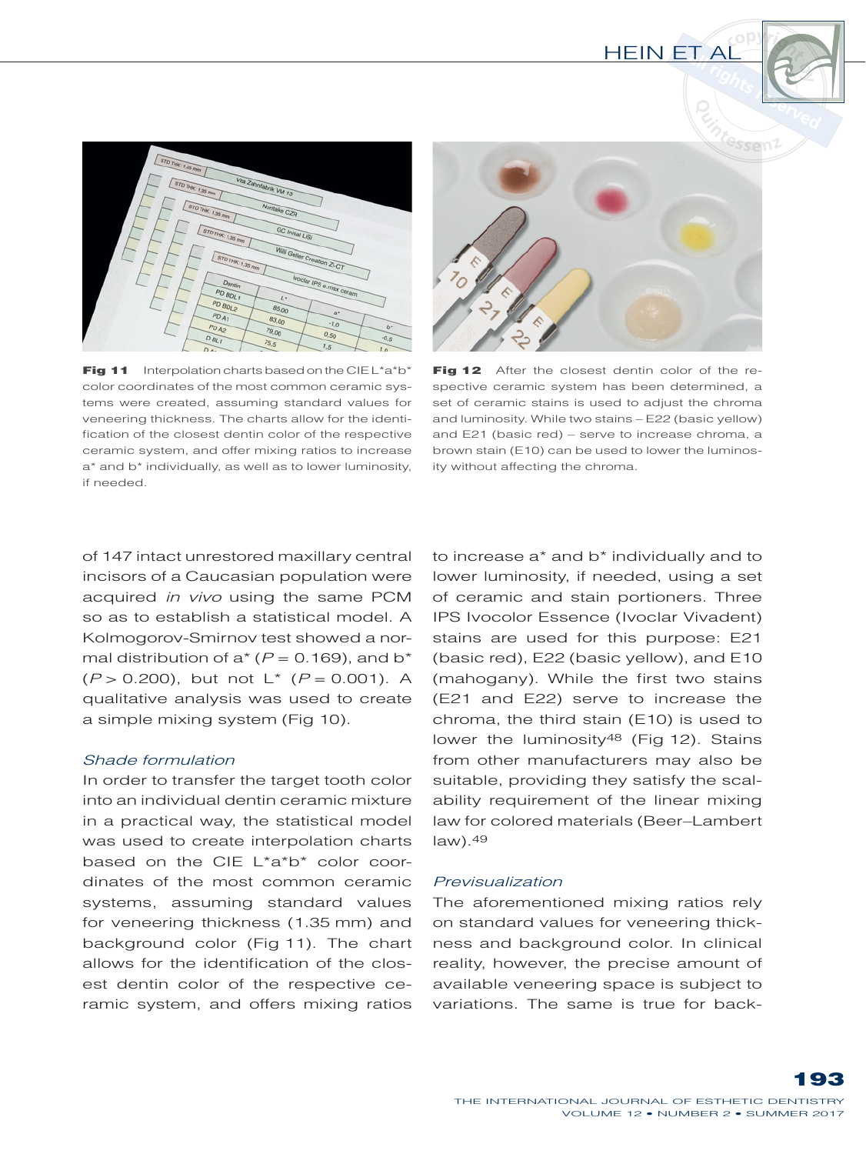

**Fig 11** Interpolation charts based on the CIEL\*a\*b\* color coordinates of the most common ceramic systems were created, assuming standard values for veneering thickness. The charts allow for the identification of the closest dentin color of the respective ceramic system, and offer mixing ratios to increase a\* and b\* individually, as well as to lower luminosity, if needed.



Fig 12 After the closest dentin color of the respective ceramic system has been determined, a set of ceramic stains is used to adjust the chroma and luminosity. While two stains - E22 (basic yellow) and E21 (basic red) - serve to increase chroma, a brown stain (E10) can be used to lower the luminosity without affecting the chroma.

of 147 intact unrestored maxillary central incisors of a Caucasian population were acquired *in vivo* using the same PCM so as to establish a statistical model. A Kolmogorov-Smirnov test showed a normal distribution of  $a^*$  ( $P = 0.169$ ), and b<sup>\*</sup>  $(P > 0.200)$ , but not  $L^*$   $(P = 0.001)$ . A qualitative analysis was used to create a simple mixing system (Fig 10).

#### *Shade formulation*

In order to transfer the target tooth color into an individual dentin ceramic mixture in a practical way, the statistical model was used to create interpolation charts based on the CIE L\*a\*b\* color coordinates of the most common ceramic systems, assuming standard values for veneering thickness (1.35 mm) and background color (Fig 11). The chart allows for the identification of the closest dentin color of the respective ceramic system, and offers mixing ratios

to increase a\* and b\* individually and to lower luminosity, if needed, using a set of ceramic and stain portioners. Three IPS Ivocolor Essence (Ivoclar Vivadent) stains are used for this purpose: E21 (basic red), E22 (basic yellow), and E10 (mahogany). While the first two stains (E21 and E22) serve to increase the chroma, the third stain  $(E10)$  is used to lower the luminosity<sup>48</sup> (Fig 12). Stains from other manufacturers may also be suitable, providing they satisfy the scalability requirement of the linear mixing law for colored materials (Beer-Lambert  $law)$ . 49

#### *Previsualization*

The aforementioned mixing ratios rely on standard values for veneering thickness and background color. In clinical reality, however, the precise amount of available veneering space is subject to variations. The same is true for back-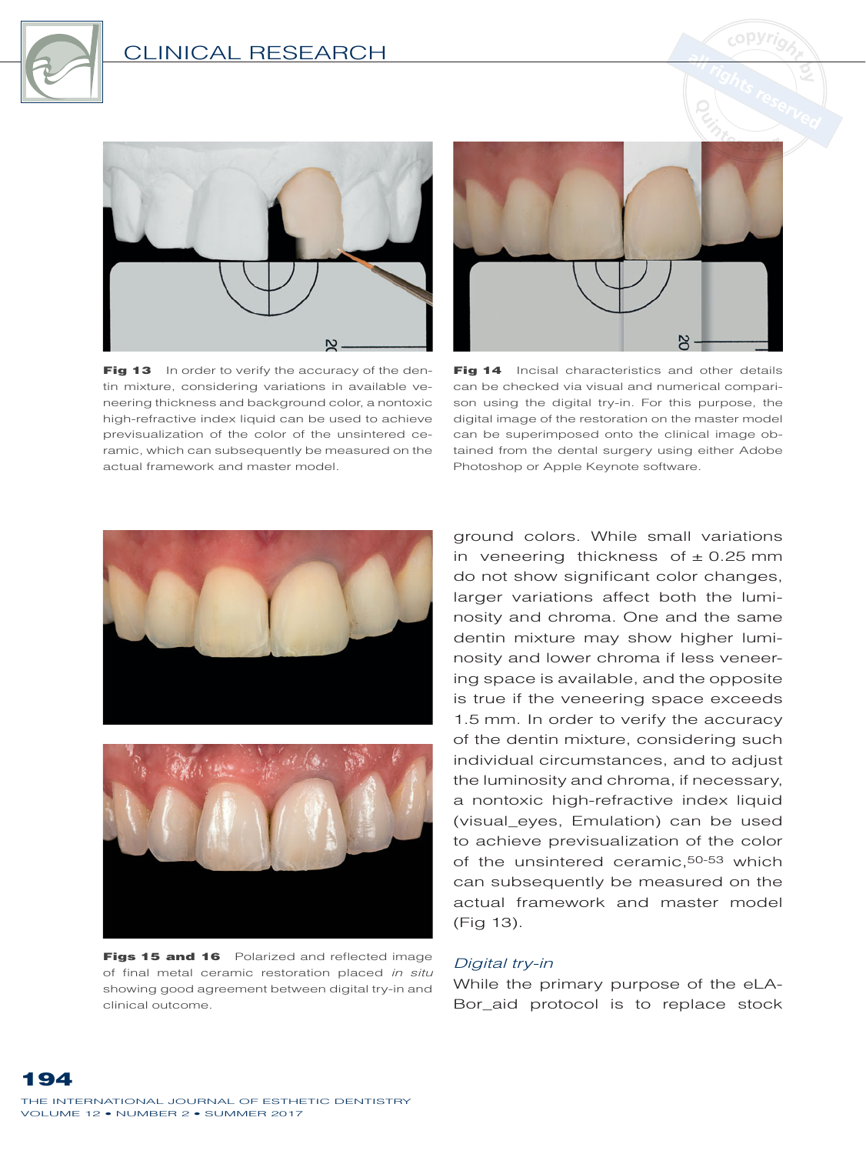



Fig 13 In order to verify the accuracy of the dentin mixture, considering variations in available veneering thickness and background color, a nontoxic high-refractive index liquid can be used to achieve previsualization of the color of the unsintered ceramic, which can subsequently be measured on the actual framework and master model.



Fig 14 Incisal characteristics and other details can be checked via visual and numerical comparison using the digital try-in. For this purpose, the digital image of the restoration on the master model can be superimposed onto the clinical image obtained from the dental surgery using either Adobe Photoshop or Apple Keynote software.





Figs 15 and 16 Polarized and reflected image of final metal ceramic restoration placed *in situ* showing good agreement between digital try-in and clinical outcome.

ground colors. While small variations in veneering thickness of  $\pm$  0.25 mm do not show significant color changes, larger variations affect both the luminosity and chroma. One and the same dentin mixture may show higher luminosity and lower chroma if less veneering space is available, and the opposite is true if the veneering space exceeds 1.5 mm. In order to verify the accuracy of the dentin mixture, considering such individual circumstances, and to adjust the luminosity and chroma, if necessary, a nontoxic high-refractive index liquid (visual\_eyes, Emulation) can be used to achieve previsualization of the color of the unsintered ceramic, <sup>50-53</sup> which can subsequently be measured on the actual framework and master model (Fig 13).

#### *Digital try-in*

While the primary purpose of the eLA- Bor\_aid protocol is to replace stock

THE INTERNATIONAL JOURNAL OF ESTHETIC DENTISTRY VOLUME 12 . NUMBER 2 . SUMMER 2017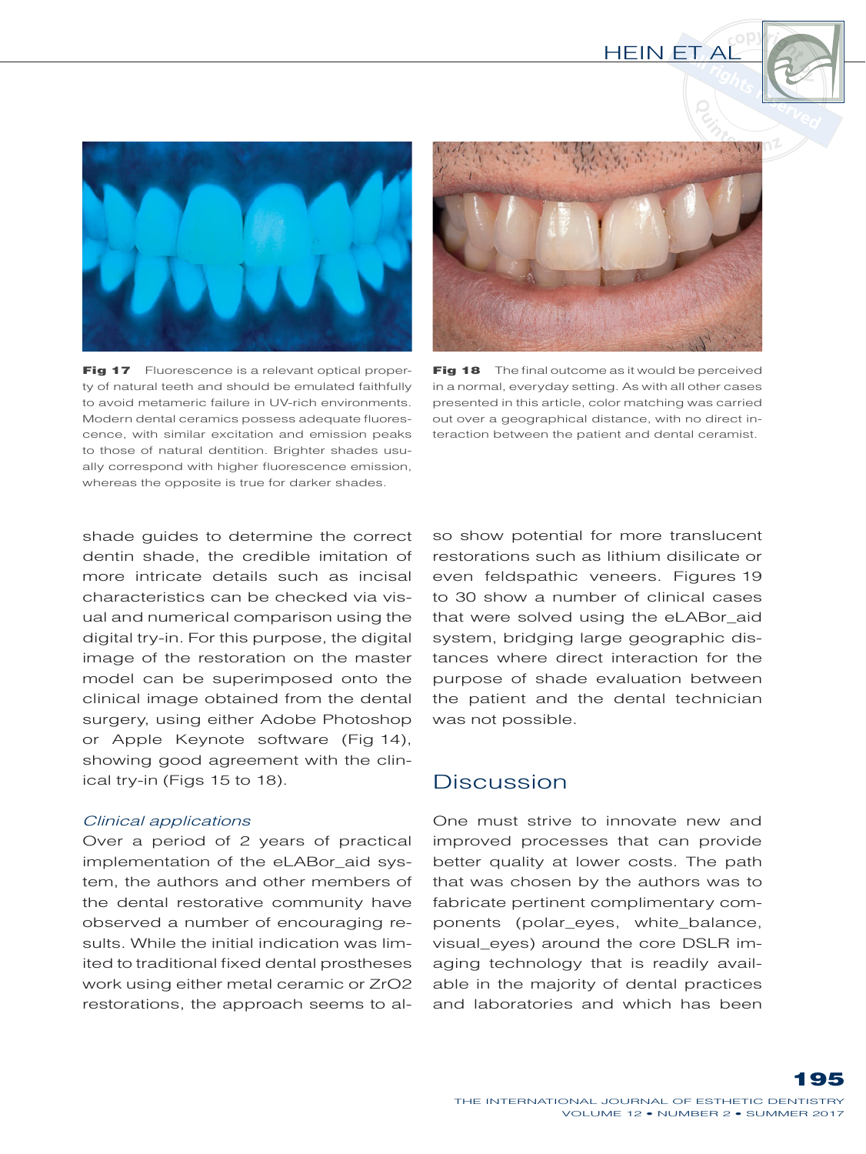



Fig 17 Fluorescence is a relevant optical property of natural teeth and should be emulated faithfully to avoid metameric failure in UV-rich environments. Modern dental ceramics possess adequate fluorescence, with similar excitation and emission peaks to those of natural dentition. Brighter shades usually correspond with higher fluorescence emission, whereas the opposite is true for darker shades.



Fig 18 The final outcome as it would be perceived in a normal, everyday setting. As with all other cases presented in this article, color matching was carried out over a geographical distance, with no direct interaction between the patient and dental ceramist.

shade guides to determine the correct dentin shade, the credible imitation of more intricate details such as incisal characteristics can be checked via visual and numerical comparison using the digital try-in. For this purpose, the digital image of the restoration on the master model can be superimposed onto the clinical image obtained from the dental surgery, using either Adobe Photoshop or Apple Keynote software (Fig 14), showing good agreement with the clinical try-in (Figs 15 to 18).

#### *Clinical applications*

Over a period of 2 years of practical implementation of the eLABor\_aid system, the authors and other members of the dental restorative community have observed a number of encouraging results. While the initial indication was limited to traditional fixed dental prostheses work using either metal ceramic or ZrO2 restorations, the approach seems to also show potential for more translucent restorations such as lithium disilicate or even feldspathic veneers. Figures 19 to 30 show a number of clinical cases that were solved using the eLABor\_aid system, bridging large geographic distances where direct interaction for the purpose of shade evaluation between the patient and the dental technician was not possible.

### Discussion

One must strive to innovate new and improved processes that can provide better quality at lower costs. The path that was chosen by the authors was to fabricate pertinent complimentary components (polar\_eyes, white\_balance, visual\_eyes) around the core DSLR imaging technology that is readily available in the majority of dental practices and laboratories and which has been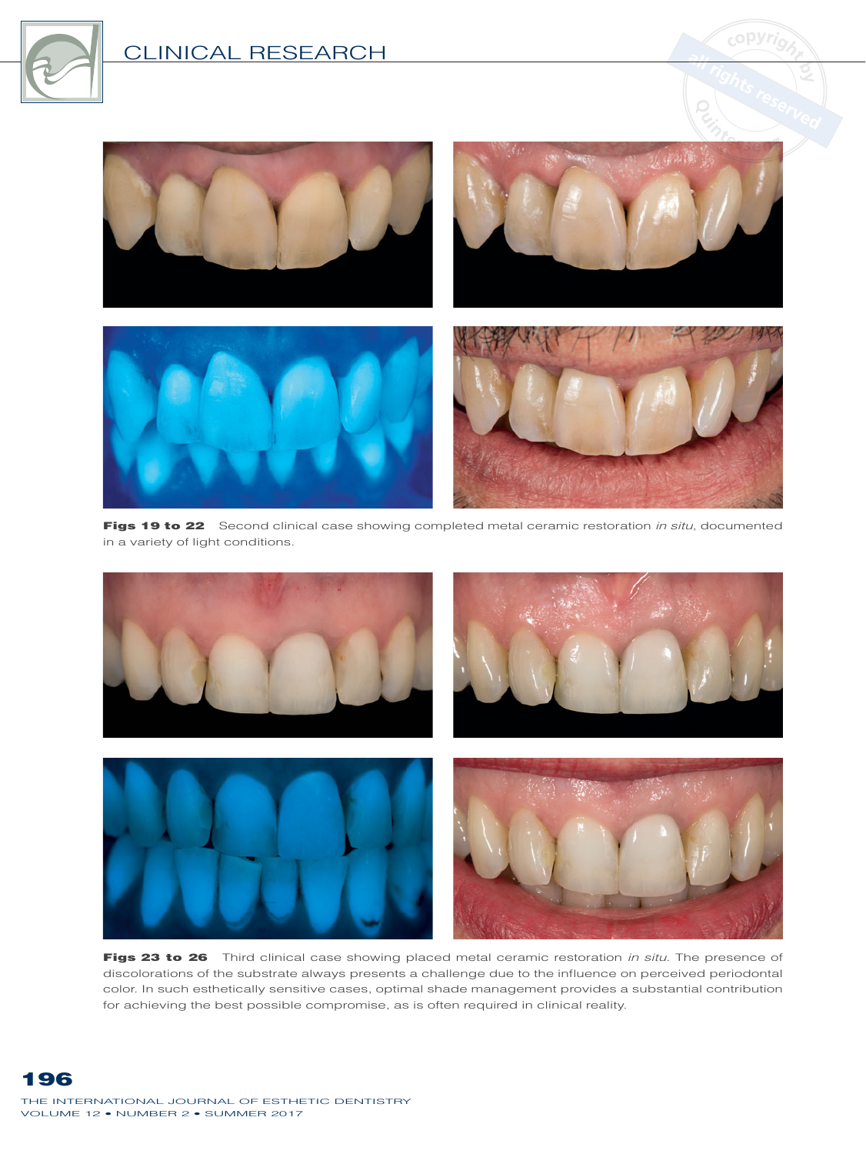



Figs 19 to 22 Second clinical case showing completed metal ceramic restoration *in situ*, documented in a variety of light conditions.



Figs 23 to 26 Third clinical case showing placed metal ceramic restoration *in situ*. The presence of discolorations of the substrate always presents a challenge due to the influence on perceived periodontal color. In such esthetically sensitive cases, optimal shade management provides a substantial contribution for achieving the best possible compromise, as is often required in clinical reality.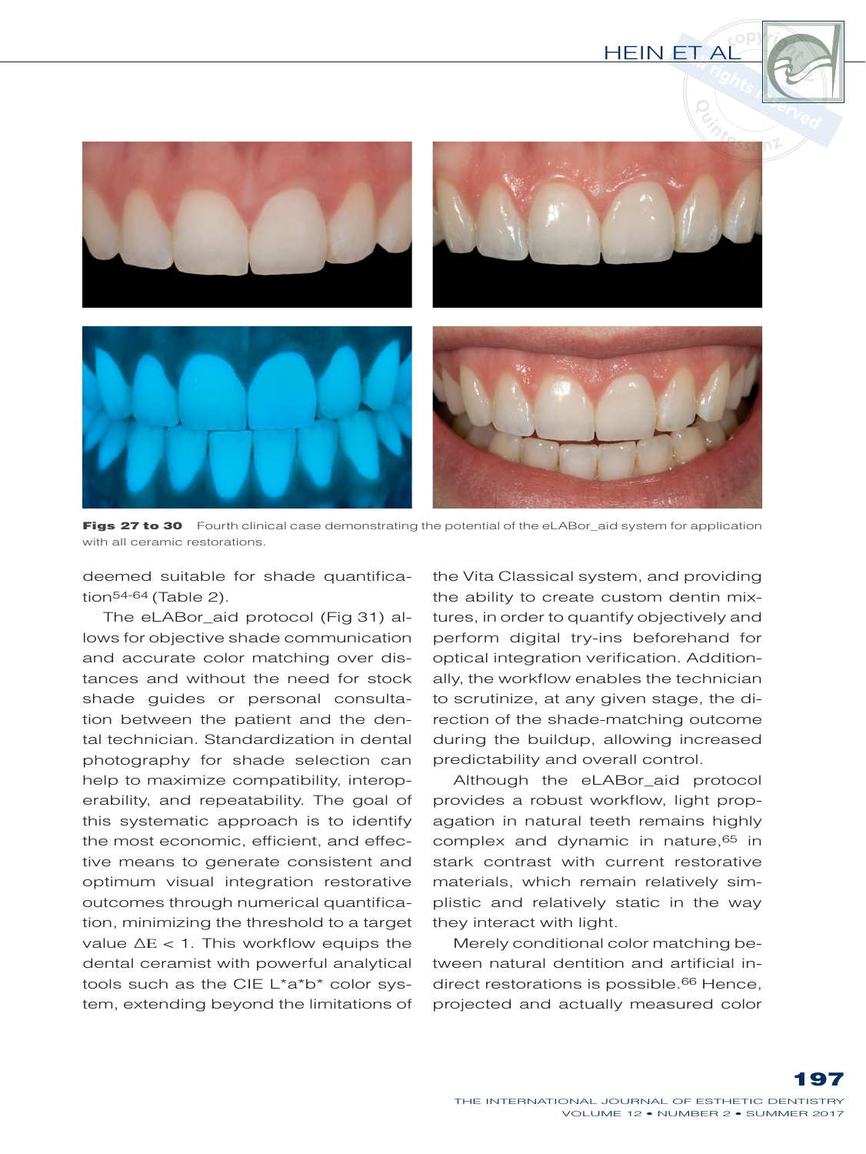



Figs 27 to 30 Fourth clinical case demonstrating the potential of the eLABor\_aid system for application with all ceramic restorations.

deemed suitable for shade quantification<sup>54-64</sup> (Table 2).

The eLABor\_aid protocol (Fig 31) allows for objective shade communication and accurate color matching over distances and without the need for stock shade guides or personal consultation between the patient and the dental technician. Standardization in dental photography for shade selection can help to maximize compatibility, interoperability, and repeatability. The goal of this systematic approach is to identify the most economic, efficient, and effective means to generate consistent and optimum visual integration restorative outcomes through numerical quantification, minimizing the threshold to a target value  $\Delta E < 1$ . This workflow equips the dental ceramist with powerful analytical tools such as the CIE L\*a\*b\* color system, extending beyond the limitations of the Vita Classical system, and providing the ability to create custom dentin mixtures, in order to quantify objectively and perform digital try-ins beforehand for optical integration verification. Additionally, the workflow enables the technician to scrutinize, at any given stage, the direction of the shade-matching outcome during the buildup, allowing increased predictability and overall control.

Although the eLABor aid protocol provides a robust workflow, light propagation in natural teeth remains highly complex and dynamic in nature, $65$  in stark contrast with current restorative materials, which remain relatively simplistic and relatively static in the way they interact with light.

Merely conditional color matching between natural dentition and artificial indirect restorations is possible.<sup>66</sup> Hence, projected and actually measured color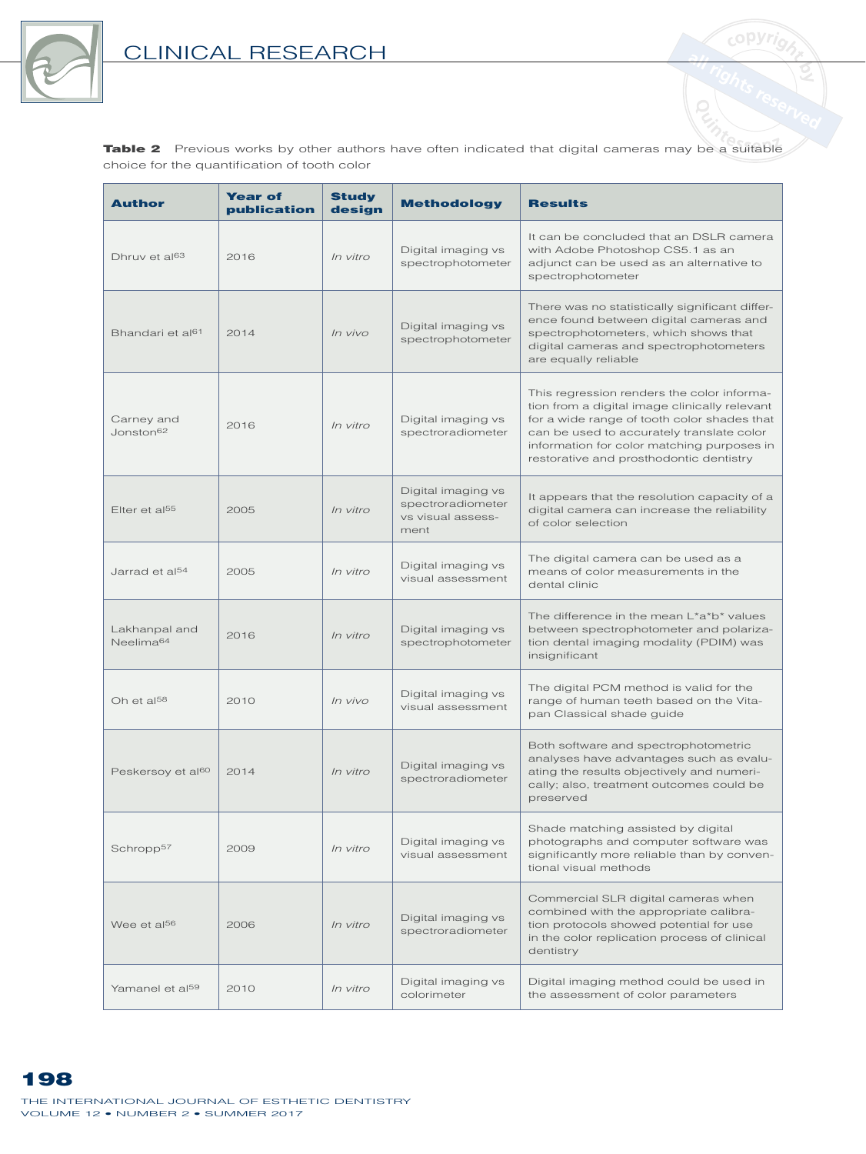

Table 2 Previous works by other authors have often indicated that digital cameras may be a suitable choice for the quantification of tooth color

<sub>c</sub>opyri<sub>o</sub>

| Author                                 | <b>Year of</b><br>publication | <b>Study</b><br>design | <b>Methodology</b>                                                   | <b>Results</b>                                                                                                                                                                                                                                                                   |
|----------------------------------------|-------------------------------|------------------------|----------------------------------------------------------------------|----------------------------------------------------------------------------------------------------------------------------------------------------------------------------------------------------------------------------------------------------------------------------------|
| Dhruy et al <sup>63</sup>              | 2016                          | In vitro               | Digital imaging vs<br>spectrophotometer                              | It can be concluded that an DSLR camera<br>with Adobe Photoshop CS5.1 as an<br>adjunct can be used as an alternative to<br>spectrophotometer                                                                                                                                     |
| Bhandari et al <sup>61</sup>           | 2014                          | In vivo                | Digital imaging vs<br>spectrophotometer                              | There was no statistically significant differ-<br>ence found between digital cameras and<br>spectrophotometers, which shows that<br>digital cameras and spectrophotometers<br>are equally reliable                                                                               |
| Carney and<br>Jonston <sup>62</sup>    | 2016                          | In vitro               | Digital imaging vs<br>spectroradiometer                              | This regression renders the color informa-<br>tion from a digital image clinically relevant<br>for a wide range of tooth color shades that<br>can be used to accurately translate color<br>information for color matching purposes in<br>restorative and prosthodontic dentistry |
| Elter et al <sup>55</sup>              | 2005                          | In vitro               | Digital imaging vs<br>spectroradiometer<br>vs visual assess-<br>ment | It appears that the resolution capacity of a<br>digital camera can increase the reliability<br>of color selection                                                                                                                                                                |
| Jarrad et al <sup>54</sup>             | 2005                          | In vitro               | Digital imaging vs<br>visual assessment                              | The digital camera can be used as a<br>means of color measurements in the<br>dental clinic                                                                                                                                                                                       |
| Lakhanpal and<br>Neelima <sup>64</sup> | 2016                          | In vitro               | Digital imaging vs<br>spectrophotometer                              | The difference in the mean L*a*b* values<br>between spectrophotometer and polariza-<br>tion dental imaging modality (PDIM) was<br>insignificant                                                                                                                                  |
| Oh et al <sup>58</sup>                 | 2010                          | In vivo                | Digital imaging vs<br>visual assessment                              | The digital PCM method is valid for the<br>range of human teeth based on the Vita-<br>pan Classical shade guide                                                                                                                                                                  |
| Peskersoy et al <sup>60</sup>          | 2014                          | In vitro               | Digital imaging vs<br>spectroradiometer                              | Both software and spectrophotometric<br>analyses have advantages such as evalu-<br>ating the results objectively and numeri-<br>cally; also, treatment outcomes could be<br>preserved                                                                                            |
| Schropp <sup>57</sup>                  | 2009                          | In vitro               | Digital imaging vs<br>visual assessment                              | Shade matching assisted by digital<br>photographs and computer software was<br>significantly more reliable than by conven-<br>tional visual methods                                                                                                                              |
| Wee et al <sup>56</sup>                | 2006                          | In vitro               | Digital imaging vs<br>spectroradiometer                              | Commercial SLR digital cameras when<br>combined with the appropriate calibra-<br>tion protocols showed potential for use<br>in the color replication process of clinical<br>dentistry                                                                                            |
| Yamanel et al <sup>59</sup>            | 2010                          | <i>In vitro</i>        | Digital imaging vs<br>colorimeter                                    | Digital imaging method could be used in<br>the assessment of color parameters                                                                                                                                                                                                    |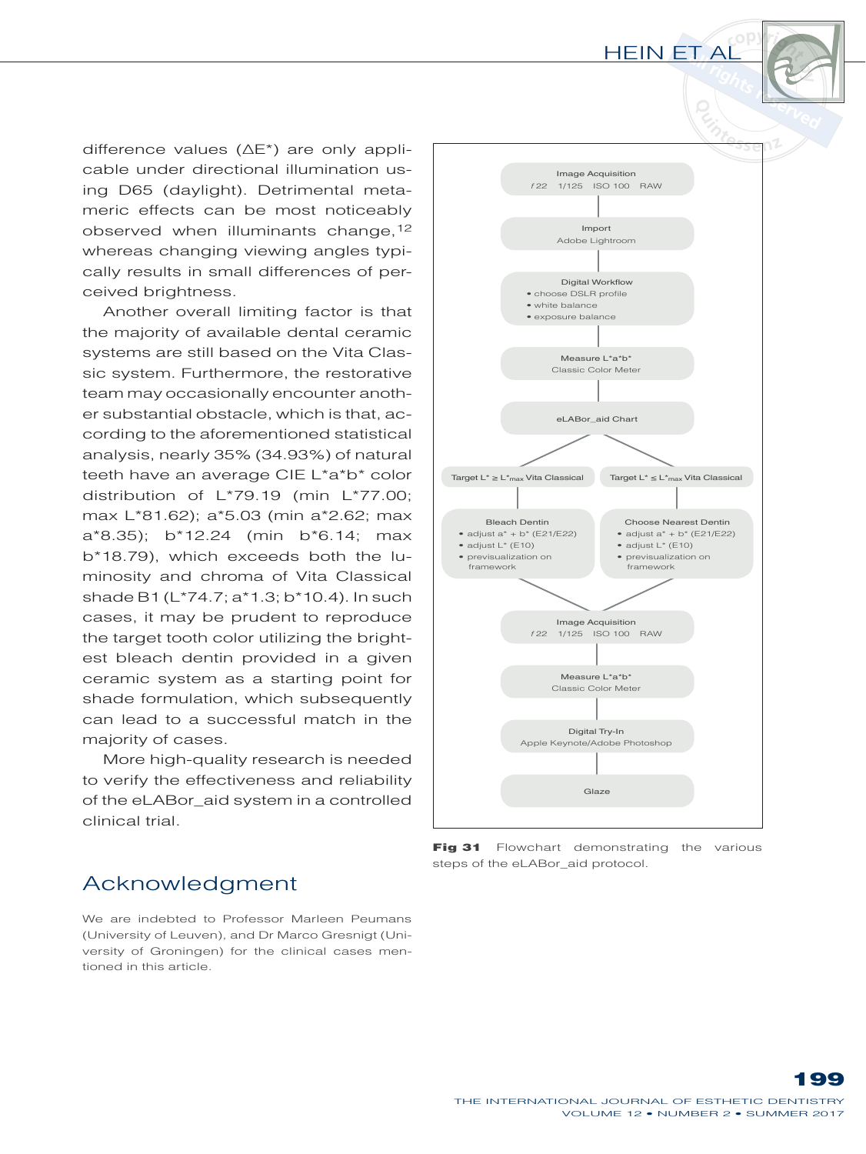difference values (∆E\*) are only applicable under directional illumination using D65 (daylight). Detrimental metameric effects can be most noticeably observed when illuminants change, 12 whereas changing viewing angles typically results in small differences of perceived brightness.

Another overall limiting factor is that the majority of available dental ceramic systems are still based on the Vita Classic system. Furthermore, the restorative team may occasionally encounter another substantial obstacle, which is that, according to the aforementioned statistical analysis, nearly 35% (34.93%) of natural teeth have an average CIE L\*a\*b\* color distribution of L\*79.19 (min L\*77.00; max L\*81.62); a\*5.03 (min a\*2.62; max a\*8.35); b\*12.24 (min b\*6.14; max b\*18.79), which exceeds both the luminosity and chroma of Vita Classical shade B1 (L\*74.7; a\*1.3; b\*10.4). In such cases, it may be prudent to reproduce the target tooth color utilizing the brightest bleach dentin provided in a given ceramic system as a starting point for shade formulation, which subsequently can lead to a successful match in the majority of cases.

More high-quality research is needed to verify the effectiveness and reliability of the eLABor\_aid system in a controlled clinical trial.



Fig 31 Flowchart demonstrating the various steps of the eLABor\_aid protocol.

# Acknowledgment

We are indebted to Professor Marleen Peumans (University of Leuven), and Dr Marco Gresnigt (University of Groningen) for the clinical cases mentioned in this article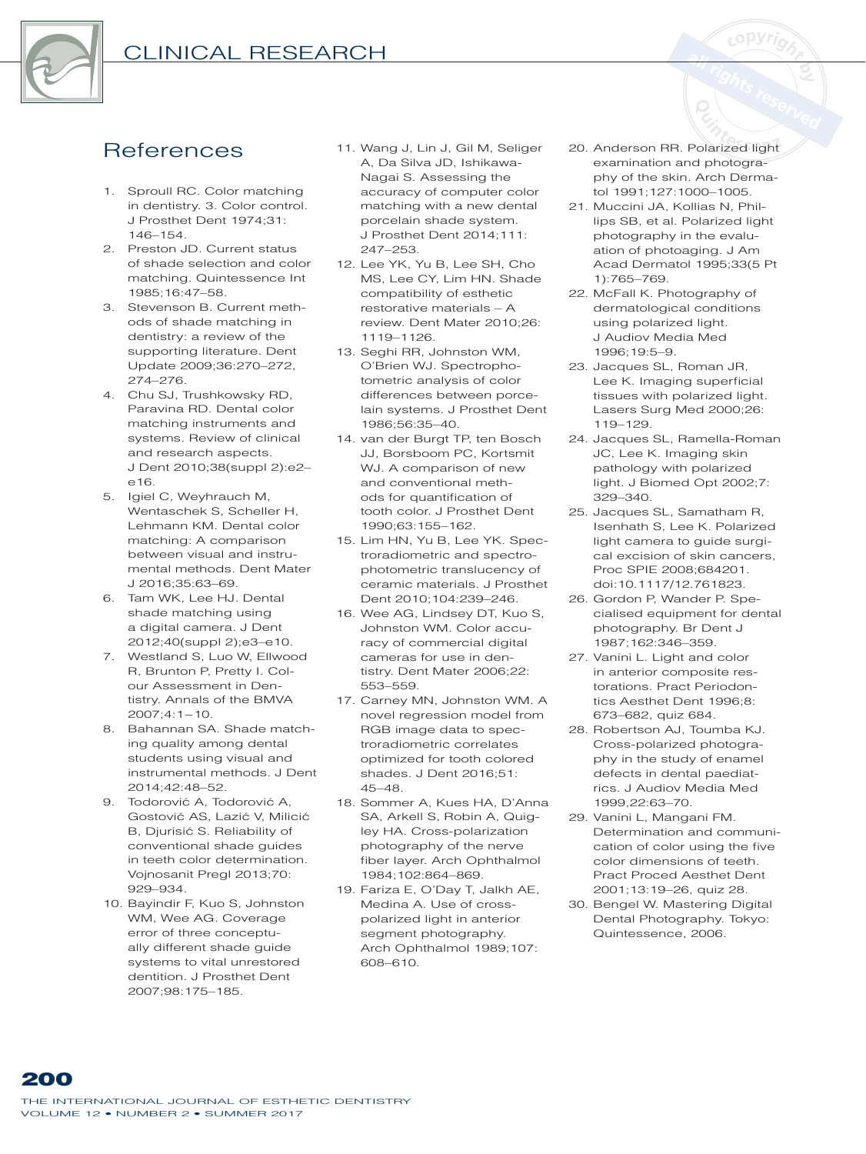

# **References**

- 1. Sproull RC. Color matching in dentistry. 3. Color control. J Prosthet Dent 1974:31:  $146 - 154$
- 2. Preston JD. Current status of shade selection and color matching. Quintessence Int 1985:16:47-58.
- 3. Stevenson B. Current methods of shade matching in dentistry: a review of the supporting literature. Dent Update 2009;36:270-272,  $274 - 276$
- 4. Chu SJ, Trushkowsky RD, Paravina RD. Dental color matching instruments and systems. Review of clinical and research aspects. J Dent 2010;38(suppl 2):e2- $616$
- 5. Igiel C, Weyhrauch M, Wentaschek S. Scheller H. Lehmann KM. Dental color matching: A comparison between visual and instrumental methods Dent Mater  $J$  2016:35:63-69.
- 6. Tam WK, Lee HJ. Dental shade matching using a digital camera. J Dent 2012;40(suppl 2);e3-e10.
- 7. Westland S, Luo W, Ellwood R, Brunton P, Pretty I. Colour Assessment in Dentistry. Annals of the BMVA  $2007;4:1 - 10.$
- 8. Bahannan SA. Shade matching quality among dental students using visual and instrumental methods, J Dent 2014:42:48-52.
- 9. Todorović A, Todorović A, Gostović AS, Lazić V, Milicić B, Djurisić S. Reliability of conventional shade guides in teeth color determination. Vojnosanit Pregl 2013;70: 929-934
- 10. Bayindir F, Kuo S, Johnston WM, Wee AG. Coverage error of three conceptually different shade guide systems to vital unrestored dentition. J Prosthet Dent 2007:98:175-185.
- 11. Wang J, Lin J, Gil M, Seliger A, Da Silva JD, Ishikawa-Nagai S. Assessing the accuracy of computer color matching with a new dental porcelain shade system. J Prosthet Dent 2014:111:  $247 - 253$
- 12. Lee YK, Yu B, Lee SH, Cho MS, Lee CY, Lim HN. Shade compatibility of esthetic restorative materials - A review. Dent Mater 2010:26: 1119-1126.
- 13. Seghi RR, Johnston WM, O'Brien WJ. Spectrophotometric analysis of color differences between porcelain systems. J Prosthet Dent 1986:56:35-40
- 14. van der Burgt TP, ten Bosch JJ, Borsboom PC, Kortsmit WJ. A comparison of new and conventional methods for quantification of tooth color. J Prosthet Dent 1990;63:155-162.
- 15. Lim HN, Yu B, Lee YK. Spectroradiometric and spectrophotometric translucency of ceramic materials, J Prosthet Dent 2010:104:239-246.
- 16. Wee AG, Lindsey DT, Kuo S, Johnston WM, Color accuracy of commercial digital cameras for use in dentistry. Dent Mater 2006;22: 553-559
- 17. Carney MN, Johnston WM. A novel regression model from RGB image data to spectroradiometric correlates optimized for tooth colored shades. J Dent 2016;51:  $45 - 48.$
- 18. Sommer A, Kues HA, D'Anna SA, Arkell S, Robin A, Quiglev HA. Cross-polarization photography of the nerve fiber layer. Arch Ophthalmol 1984;102:864-869.
- 19. Fariza E, O'Day T, Jalkh AE, Medina A. Use of crosspolarized light in anterior segment photography. Arch Ophthalmol 1989;107: 608-610.
- 20. Anderson RR. Polarized light examination and photography of the skin. Arch Dermatol 1991;127:1000-1005.
- 21. Muccini JA, Kollias N, Phillips SB, et al. Polarized light photography in the evaluation of photoaging. J Am Acad Dermatol 1995;33(5 Pt 1):765-769.
- 22. McFall K. Photography of dermatological conditions using polarized light. J Audiov Media Med  $1996.19.5 - 9$
- 23. Jacques SL, Roman JR. Lee K. Imaging superficial tissues with polarized light. Lasers Surg Med 2000;26:  $119 - 129$
- 24. Jacques SL, Ramella-Roman JC, Lee K. Imaging skin pathology with polarized light. J Biomed Opt 2002;7: 329-340.
- 25. Jacques SL, Samatham R, Isenhath S, Lee K. Polarized light camera to guide surgical excision of skin cancers, Proc SPIE 2008:684201. doi:10.1117/12.761823.
- 26. Gordon P, Wander P. Specialised equipment for dental photography. Br Dent J 1987;162:346-359.
- 27. Vanini L. Light and color in anterior composite restorations Pract Periodontics Aesthet Dent 1996:8: 673-682, quiz 684.
- 28. Robertson AJ, Toumba KJ. Cross-polarized photography in the study of enamel defects in dental paediatrics. J Audiov Media Med 1999.22:63-70.
- 29. Vanini L, Mangani FM. Determination and communication of color using the five color dimensions of teeth. Pract Proced Aesthet Dent 2001;13:19-26, quiz 28.
- 30. Bengel W. Mastering Digital Dental Photography. Tokyo: Quintessence, 2006.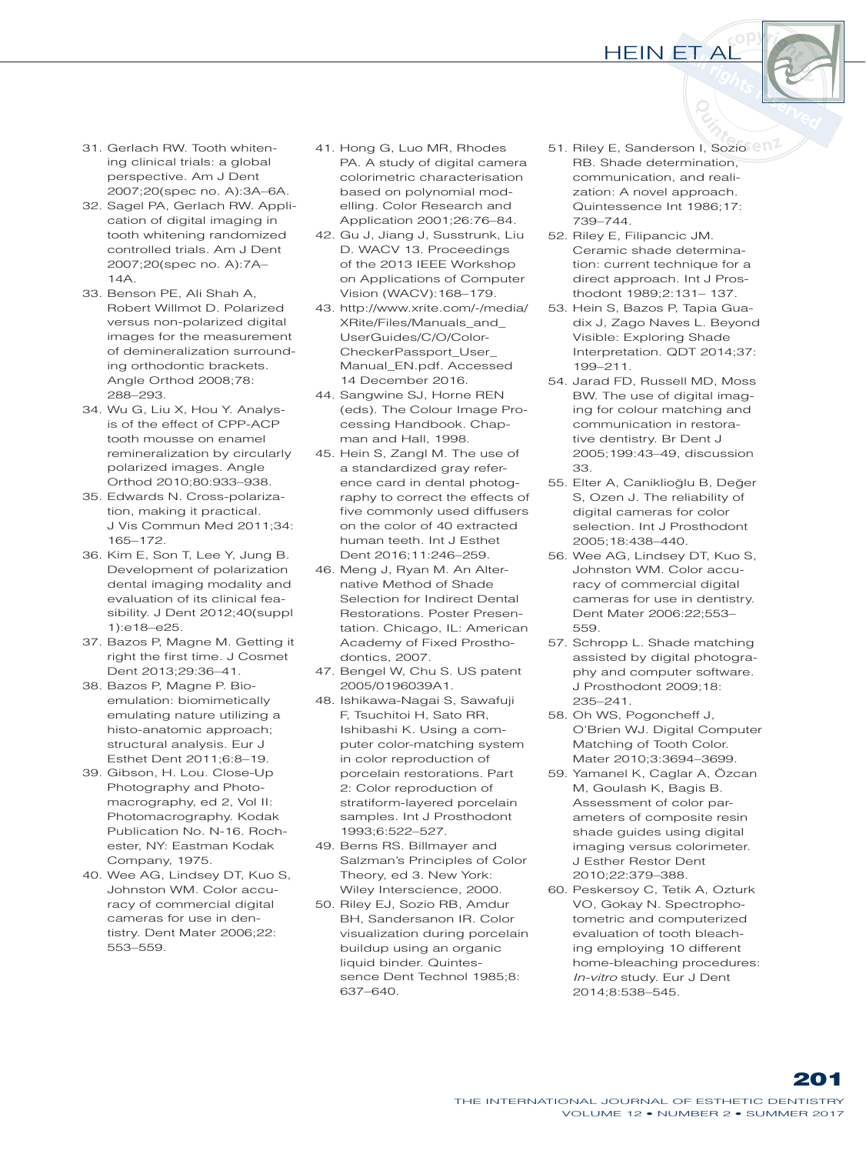

- 31. Gerlach RW. Tooth whitening clinical trials: a global perspective. Am J Dent 2007;20(spec no. A):3A-6A.
- 32. Sagel PA, Gerlach RW. Application of digital imaging in tooth whitening randomized controlled trials. Am J Dent 2007;20(spec no. A):7A- $14A$
- 33. Benson PE, Ali Shah A, Robert Willmot D. Polarized versus non-polarized digital images for the measurement of demineralization surrounding orthodontic brackets. Angle Orthod 2008;78: 288-293.
- 34. Wu G, Liu X, Hou Y. Analysis of the effect of CPP-ACP tooth mousse on enamel remineralization by circularly polarized images. Angle Orthod 2010;80:933-938.
- 35. Edwards N. Cross-polarization, making it practical. J Vis Commun Med 2011;34:  $165 - 172$
- 36. Kim E, Son T, Lee Y, Jung B. Development of polarization dental imaging modality and evaluation of its clinical feasibility. J Dent 2012;40(suppl 1):e18-e25.
- 37. Bazos P, Magne M. Getting it right the first time. J Cosmet Dent 2013;29:36-41.
- 38. Bazos P, Magne P. Bioemulation: biomimetically emulating nature utilizing a histo-anatomic approach; structural analysis. Eur J Esthet Dent 2011:6:8-19.
- 39. Gibson, H. Lou. Close-Up Photography and Photomacrography, ed 2, Vol II: Photomacrography. Kodak Publication No. N-16. Rochester, NY: Eastman Kodak Company, 1975.
- 40. Wee AG, Lindsey DT, Kuo S, Johnston WM. Color accuracy of commercial digital cameras for use in dentistry. Dent Mater 2006;22: 553-559
- 41. Hong G, Luo MR, Rhodes PA. A study of digital camera colorimetric characterisation based on polynomial modelling. Color Research and Application 2001;26:76-84.
- 42. Gu J, Jiang J, Susstrunk, Liu D. WACV 13. Proceedings of the 2013 IEEE Workshop on Applications of Computer Vision (WACV): 168-179.
- 43. http://www.xrite.com/-/media/ XRite/Files/Manuals\_and\_ UserGuides/C/O/Color- CheckerPassport User Manual\_EN.pdf. Accessed 14 December 2016.
- 44. Sangwine SJ, Horne REN (eds). The Colour Image Processing Handbook. Chapman and Hall, 1998.
- 45. Hein S, Zangl M. The use of a standardized gray reference card in dental photography to correct the effects of five commonly used diffusers on the color of 40 extracted human teeth. Int J Esthet Dent  $2016:11:246-259$
- 46. Meng J, Ryan M. An Alternative Method of Shade Selection for Indirect Dental Restorations. Poster Presentation. Chicago, IL: American Academy of Fixed Prosthodontics, 2007.
- 47. Bengel W, Chu S. US patent 2005/0196039A1.
- 48. Ishikawa-Nagai S, Sawafuji F, Tsuchitoi H, Sato RR, Ishibashi K. Using a computer color-matching system in color reproduction of porcelain restorations. Part 2: Color reproduction of stratiform-layered porcelain samples. Int J Prosthodont 1993:6:522-527.
- 49. Berns RS. Billmayer and Salzman's Principles of Color Theory, ed 3. New York: Wiley Interscience, 2000.
- 50. Riley EJ, Sozio RB, Amdur BH, Sandersanon IR. Color visualization during porcelain buildup using an organic liquid binder. Quintessence Dent Technol 1985;8: 637-640.
- 51. Riley E, Sanderson I, Sozio BB Shade determination communication, and realization: A novel approach. Quintessence Int 1986;17: 739-744.
- 52. Riley E, Filipancic JM. Ceramic shade determination: current technique for a direct approach. Int J Prosthodont 1989;2:131-137.
- 53. Hein S. Bazos P. Tapia Guadix J, Zago Naves L. Beyond Visible: Exploring Shade Interpretation. QDT 2014;37:  $199 - 211.$
- 54. Jarad FD, Russell MD, Moss BW. The use of digital imaging for colour matching and communication in restorative dentistry. Br Dent J 2005;199:43-49, discussion 33.
- 55. Elter A, Caniklioğlu B, Değer S, Ozen J. The reliability of digital cameras for color selection. Int J Prosthodont 2005;18:438-440.
- 56. Wee AG, Lindsey DT, Kuo S, Johnston WM. Color accuracy of commercial digital cameras for use in dentistry. Dent Mater 2006:22;553-559.
- 57. Schropp L. Shade matching assisted by digital photography and computer software. J Prosthodont 2009;18:  $235 - 241$ .
- 58. Oh WS, Pogoncheff J, O'Brien WJ. Digital Computer Matching of Tooth Color. Mater 2010:3:3694-3699
- 59. Yamanel K, Caglar A, Özcan M, Goulash K, Bagis B. Assessment of color parameters of composite resin shade guides using digital imaging versus colorimeter. J Esther Restor Dent 2010:22:379-388.
- 60. Peskersoy C, Tetik A, Ozturk VO, Gokay N. Spectrophotometric and computerized evaluation of tooth bleaching employing 10 different home-bleaching procedures: *In-vitro* study. Eur J Dent 2014;8:538-545.